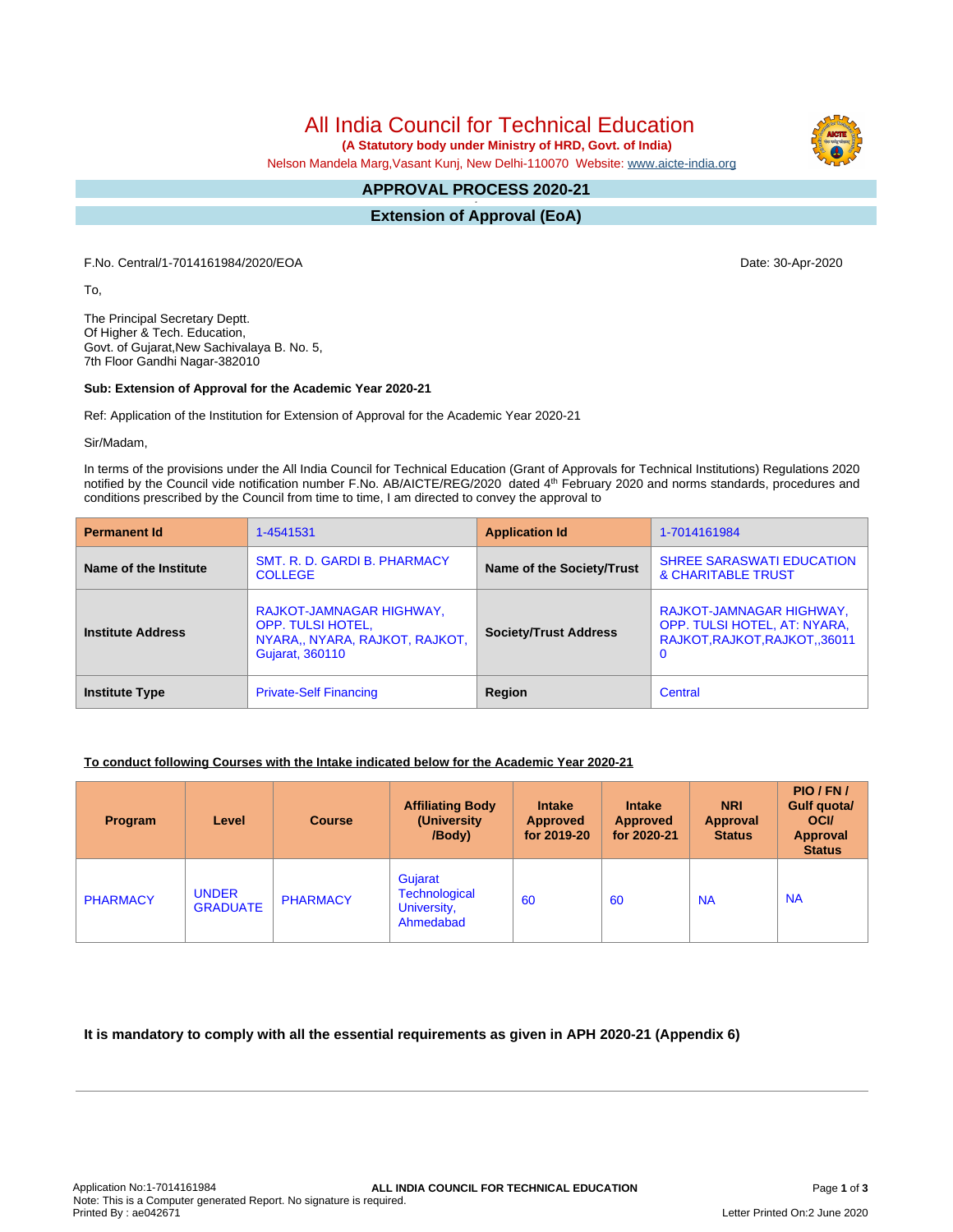All India Council for Technical Education

 **(A Statutory body under Ministry of HRD, Govt. of India)**

Nelson Mandela Marg,Vasant Kunj, New Delhi-110070 Website: [www.aicte-india.org](http://www.aicte-india.org)

#### **APPROVAL PROCESS 2020-21 -**

**Extension of Approval (EoA)**

F.No. Central/1-7014161984/2020/EOA Date: 30-Apr-2020

To,

The Principal Secretary Deptt. Of Higher & Tech. Education, Govt. of Gujarat,New Sachivalaya B. No. 5, 7th Floor Gandhi Nagar-382010

### **Sub: Extension of Approval for the Academic Year 2020-21**

Ref: Application of the Institution for Extension of Approval for the Academic Year 2020-21

Sir/Madam,

In terms of the provisions under the All India Council for Technical Education (Grant of Approvals for Technical Institutions) Regulations 2020 notified by the Council vide notification number F.No. AB/AICTE/REG/2020 dated 4<sup>th</sup> February 2020 and norms standards, procedures and conditions prescribed by the Council from time to time, I am directed to convey the approval to

| <b>Permanent Id</b>      | 1-4541531                                                                                                 | <b>Application Id</b>        | 1-7014161984                                                                                   |  |
|--------------------------|-----------------------------------------------------------------------------------------------------------|------------------------------|------------------------------------------------------------------------------------------------|--|
| Name of the Institute    | SMT. R. D. GARDI B. PHARMACY<br><b>COLLEGE</b>                                                            | Name of the Society/Trust    | <b>SHREE SARASWATI EDUCATION</b><br>& CHARITABLE TRUST                                         |  |
| <b>Institute Address</b> | RAJKOT-JAMNAGAR HIGHWAY,<br><b>OPP. TULSI HOTEL,</b><br>NYARA,, NYARA, RAJKOT, RAJKOT,<br>Gujarat, 360110 | <b>Society/Trust Address</b> | RAJKOT-JAMNAGAR HIGHWAY,<br>OPP. TULSI HOTEL, AT: NYARA,<br>RAJKOT, RAJKOT, RAJKOT, 36011<br>0 |  |
| <b>Institute Type</b>    | <b>Private-Self Financing</b>                                                                             | Region                       | Central                                                                                        |  |

## **To conduct following Courses with the Intake indicated below for the Academic Year 2020-21**

| Program         | Level                           | <b>Course</b>   | <b>Affiliating Body</b><br>(University)<br>/Body)           | <b>Intake</b><br><b>Approved</b><br>for 2019-20 | <b>Intake</b><br><b>Approved</b><br>for 2020-21 | <b>NRI</b><br>Approval<br><b>Status</b> | PIO/FN/<br>Gulf quota/<br><b>OCI</b><br><b>Approval</b><br><b>Status</b> |
|-----------------|---------------------------------|-----------------|-------------------------------------------------------------|-------------------------------------------------|-------------------------------------------------|-----------------------------------------|--------------------------------------------------------------------------|
| <b>PHARMACY</b> | <b>UNDER</b><br><b>GRADUATE</b> | <b>PHARMACY</b> | Gujarat<br><b>Technological</b><br>University,<br>Ahmedabad | 60                                              | 60                                              | <b>NA</b>                               | <b>NA</b>                                                                |

## **It is mandatory to comply with all the essential requirements as given in APH 2020-21 (Appendix 6)**